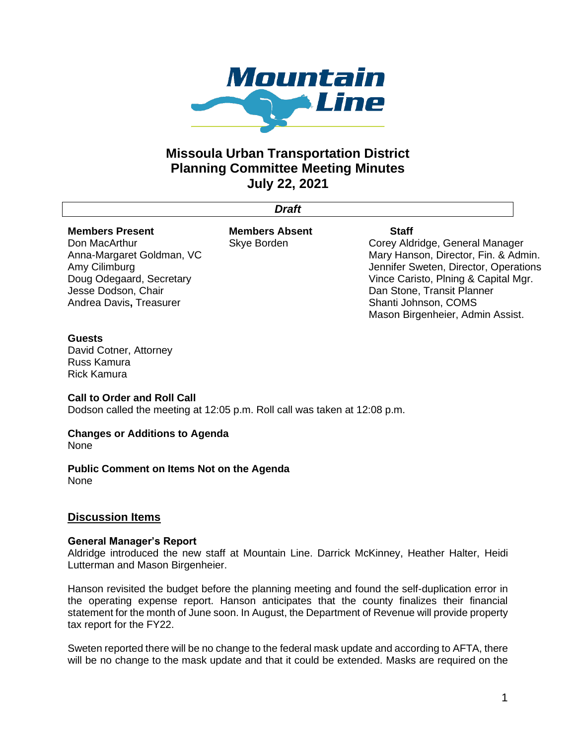

# **Missoula Urban Transportation District Planning Committee Meeting Minutes July 22, 2021**

*Draft*

# **Members Present**

Don MacArthur Anna-Margaret Goldman, VC Amy Cilimburg Doug Odegaard, Secretary Jesse Dodson, Chair Andrea Davis**,** Treasurer

**Members Absent** Skye Borden

#### **Staff**

Corey Aldridge, General Manager Mary Hanson, Director, Fin. & Admin. Jennifer Sweten, Director, Operations Vince Caristo, Plning & Capital Mgr. Dan Stone, Transit Planner Shanti Johnson, COMS Mason Birgenheier, Admin Assist.

## **Guests**

David Cotner, Attorney Russ Kamura Rick Kamura

## **Call to Order and Roll Call**

Dodson called the meeting at 12:05 p.m. Roll call was taken at 12:08 p.m.

# **Changes or Additions to Agenda**

None

**Public Comment on Items Not on the Agenda** None

# **Discussion Items**

## **General Manager's Report**

Aldridge introduced the new staff at Mountain Line. Darrick McKinney, Heather Halter, Heidi Lutterman and Mason Birgenheier.

Hanson revisited the budget before the planning meeting and found the self-duplication error in the operating expense report. Hanson anticipates that the county finalizes their financial statement for the month of June soon. In August, the Department of Revenue will provide property tax report for the FY22.

Sweten reported there will be no change to the federal mask update and according to AFTA, there will be no change to the mask update and that it could be extended. Masks are required on the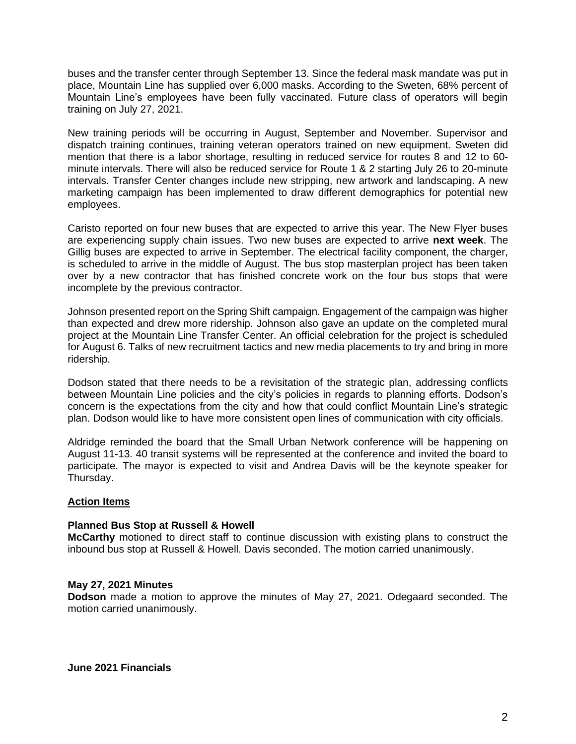buses and the transfer center through September 13. Since the federal mask mandate was put in place, Mountain Line has supplied over 6,000 masks. According to the Sweten, 68% percent of Mountain Line's employees have been fully vaccinated. Future class of operators will begin training on July 27, 2021.

New training periods will be occurring in August, September and November. Supervisor and dispatch training continues, training veteran operators trained on new equipment. Sweten did mention that there is a labor shortage, resulting in reduced service for routes 8 and 12 to 60 minute intervals. There will also be reduced service for Route 1 & 2 starting July 26 to 20-minute intervals. Transfer Center changes include new stripping, new artwork and landscaping. A new marketing campaign has been implemented to draw different demographics for potential new employees.

Caristo reported on four new buses that are expected to arrive this year. The New Flyer buses are experiencing supply chain issues. Two new buses are expected to arrive **next week**. The Gillig buses are expected to arrive in September. The electrical facility component, the charger, is scheduled to arrive in the middle of August. The bus stop masterplan project has been taken over by a new contractor that has finished concrete work on the four bus stops that were incomplete by the previous contractor.

Johnson presented report on the Spring Shift campaign. Engagement of the campaign was higher than expected and drew more ridership. Johnson also gave an update on the completed mural project at the Mountain Line Transfer Center. An official celebration for the project is scheduled for August 6. Talks of new recruitment tactics and new media placements to try and bring in more ridership.

Dodson stated that there needs to be a revisitation of the strategic plan, addressing conflicts between Mountain Line policies and the city's policies in regards to planning efforts. Dodson's concern is the expectations from the city and how that could conflict Mountain Line's strategic plan. Dodson would like to have more consistent open lines of communication with city officials.

Aldridge reminded the board that the Small Urban Network conference will be happening on August 11-13. 40 transit systems will be represented at the conference and invited the board to participate. The mayor is expected to visit and Andrea Davis will be the keynote speaker for Thursday.

## **Action Items**

#### **Planned Bus Stop at Russell & Howell**

**McCarthy** motioned to direct staff to continue discussion with existing plans to construct the inbound bus stop at Russell & Howell. Davis seconded. The motion carried unanimously.

#### **May 27, 2021 Minutes**

**Dodson** made a motion to approve the minutes of May 27, 2021. Odegaard seconded. The motion carried unanimously.

**June 2021 Financials**